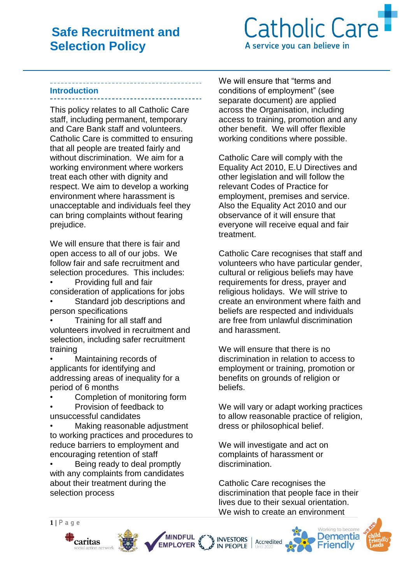

#### **Introduction**

This policy relates to all Catholic Care staff, including permanent, temporary and Care Bank staff and volunteers. Catholic Care is committed to ensuring that all people are treated fairly and without discrimination. We aim for a working environment where workers treat each other with dignity and respect. We aim to develop a working environment where harassment is unacceptable and individuals feel they can bring complaints without fearing prejudice.

We will ensure that there is fair and open access to all of our jobs. We follow fair and safe recruitment and selection procedures. This includes:

• Providing full and fair consideration of applications for jobs

Standard job descriptions and person specifications

• Training for all staff and volunteers involved in recruitment and selection, including safer recruitment training

• Maintaining records of applicants for identifying and addressing areas of inequality for a period of 6 months

Completion of monitoring form

• Provision of feedback to unsuccessful candidates

Making reasonable adjustment to working practices and procedures to reduce barriers to employment and encouraging retention of staff

• Being ready to deal promptly with any complaints from candidates about their treatment during the selection process

We will ensure that "terms and conditions of employment" (see separate document) are applied across the Organisation, including access to training, promotion and any other benefit. We will offer flexible working conditions where possible.

Catholic Care will comply with the Equality Act 2010, E.U Directives and other legislation and will follow the relevant Codes of Practice for employment, premises and service. Also the Equality Act 2010 and our observance of it will ensure that evervone will receive equal and fair treatment.

Catholic Care recognises that staff and volunteers who have particular gender, cultural or religious beliefs may have requirements for dress, prayer and religious holidays. We will strive to create an environment where faith and beliefs are respected and individuals are free from unlawful discrimination and harassment.

We will ensure that there is no discrimination in relation to access to employment or training, promotion or benefits on grounds of religion or beliefs.

We will vary or adapt working practices to allow reasonable practice of religion, dress or philosophical belief.

We will investigate and act on complaints of harassment or discrimination.

Catholic Care recognises the discrimination that people face in their lives due to their sexual orientation. We wish to create an environment









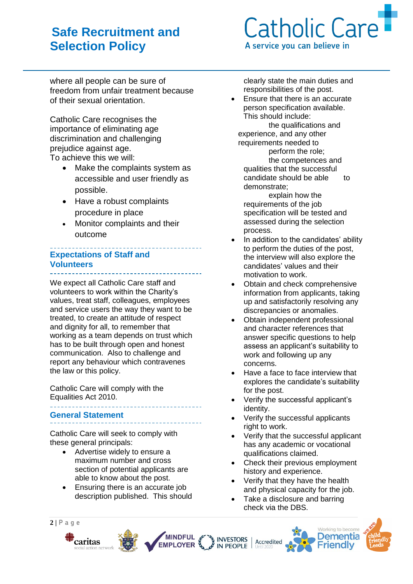

where all people can be sure of freedom from unfair treatment because of their sexual orientation.

Catholic Care recognises the importance of eliminating age discrimination and challenging prejudice against age. To achieve this we will:

> • Make the complaints system as accessible and user friendly as possible.

- Have a robust complaints procedure in place
- Monitor complaints and their outcome

## **Expectations of Staff and Volunteers**

We expect all Catholic Care staff and volunteers to work within the Charity's values, treat staff, colleagues, employees and service users the way they want to be treated, to create an attitude of respect and dignity for all, to remember that working as a team depends on trust which has to be built through open and honest communication. Also to challenge and report any behaviour which contravenes the law or this policy.

Catholic Care will comply with the Equalities Act 2010. 

### **General Statement**

Catholic Care will seek to comply with these general principals:

- Advertise widely to ensure a maximum number and cross section of potential applicants are able to know about the post.
- Ensuring there is an accurate job description published. This should

clearly state the main duties and responsibilities of the post.

• Ensure that there is an accurate person specification available. This should include:

 the qualifications and experience, and any other requirements needed to perform the role; the competences and qualities that the successful candidate should be able to demonstrate;

explain how the requirements of the job specification will be tested and assessed during the selection process.

- In addition to the candidates' ability to perform the duties of the post, the interview will also explore the candidates' values and their motivation to work.
- Obtain and check comprehensive information from applicants, taking up and satisfactorily resolving any discrepancies or anomalies.
- Obtain independent professional and character references that answer specific questions to help assess an applicant's suitability to work and following up any concerns.
- Have a face to face interview that explores the candidate's suitability for the post.
- Verify the successful applicant's identity.
- Verify the successful applicants right to work.
- Verify that the successful applicant has any academic or vocational qualifications claimed.
- Check their previous employment history and experience.
- Verify that they have the health and physical capacity for the job.
- Take a disclosure and barring check via the DBS.









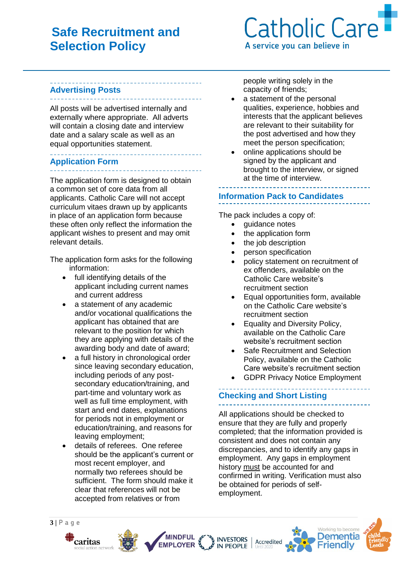# **Catholic Care** A service you can believe in

## **Advertising Posts**

All posts will be advertised internally and externally where appropriate. All adverts will contain a closing date and interview date and a salary scale as well as an equal opportunities statement.

#### **Application Form**

The application form is designed to obtain a common set of core data from all applicants. Catholic Care will not accept curriculum vitaes drawn up by applicants in place of an application form because these often only reflect the information the applicant wishes to present and may omit relevant details.

The application form asks for the following information:

- full identifying details of the applicant including current names and current address
- a statement of any academic and/or vocational qualifications the applicant has obtained that are relevant to the position for which they are applying with details of the awarding body and date of award;
- a full history in chronological order since leaving secondary education, including periods of any postsecondary education/training, and part-time and voluntary work as well as full time employment, with start and end dates, explanations for periods not in employment or education/training, and reasons for leaving employment;
- details of referees. One referee should be the applicant's current or most recent employer, and normally two referees should be sufficient. The form should make it clear that references will not be accepted from relatives or from

people writing solely in the capacity of friends;

- a statement of the personal qualities, experience, hobbies and interests that the applicant believes are relevant to their suitability for the post advertised and how they meet the person specification;
- online applications should be signed by the applicant and brought to the interview, or signed at the time of interview.

#### \_\_\_\_\_\_\_\_\_\_\_\_\_\_\_\_\_\_\_\_\_\_ **Information Pack to Candidates**

The pack includes a copy of:

- quidance notes
- the application form
- the job description
- person specification
- policy statement on recruitment of ex offenders, available on the Catholic Care website's recruitment section
- Equal opportunities form, available on the Catholic Care website's recruitment section
- Equality and Diversity Policy, available on the Catholic Care website's recruitment section
- Safe Recruitment and Selection Policy, available on the Catholic Care website's recruitment section
- GDPR Privacy Notice Employment

#### **Checking and Short Listing** \_\_\_\_\_\_\_\_\_\_\_\_\_\_\_\_\_\_\_\_\_\_\_\_\_\_\_\_\_\_\_\_\_

All applications should be checked to ensure that they are fully and properly completed; that the information provided is consistent and does not contain any discrepancies, and to identify any gaps in employment. Any gaps in employment history must be accounted for and confirmed in writing. Verification must also be obtained for periods of selfemployment.



MINDFUL &



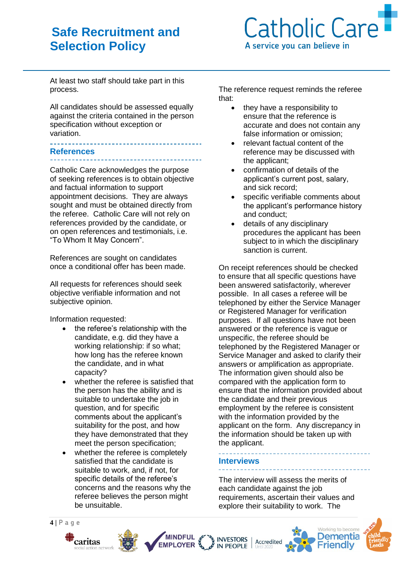

At least two staff should take part in this process.

All candidates should be assessed equally against the criteria contained in the person specification without exception or variation.

#### <u> 1950 - Louis III</u> **References**

Catholic Care acknowledges the purpose of seeking references is to obtain objective and factual information to support appointment decisions. They are always sought and must be obtained directly from the referee. Catholic Care will not rely on references provided by the candidate, or on open references and testimonials, i.e. "To Whom It May Concern".

References are sought on candidates once a conditional offer has been made.

All requests for references should seek objective verifiable information and not subjective opinion.

Information requested:

- the referee's relationship with the candidate, e.g. did they have a working relationship: if so what; how long has the referee known the candidate, and in what capacity?
- whether the referee is satisfied that the person has the ability and is suitable to undertake the job in question, and for specific comments about the applicant's suitability for the post, and how they have demonstrated that they meet the person specification;
- whether the referee is completely satisfied that the candidate is suitable to work, and, if not, for specific details of the referee's concerns and the reasons why the referee believes the person might be unsuitable.

The reference request reminds the referee that:

- they have a responsibility to ensure that the reference is accurate and does not contain any false information or omission;
- relevant factual content of the reference may be discussed with the applicant;
- confirmation of details of the applicant's current post, salary, and sick record;
- specific verifiable comments about the applicant's performance history and conduct;
- details of any disciplinary procedures the applicant has been subiect to in which the disciplinary sanction is current.

On receipt references should be checked to ensure that all specific questions have been answered satisfactorily, wherever possible. In all cases a referee will be telephoned by either the Service Manager or Registered Manager for verification purposes. If all questions have not been answered or the reference is vague or unspecific, the referee should be telephoned by the Registered Manager or Service Manager and asked to clarify their answers or amplification as appropriate. The information given should also be compared with the application form to ensure that the information provided about the candidate and their previous employment by the referee is consistent with the information provided by the applicant on the form. Any discrepancy in the information should be taken up with the applicant.

<u> 2000-lugu</u> **Interviews** 

The interview will assess the merits of each candidate against the job requirements, ascertain their values and explore their suitability to work. The

<u> - - - - - - - - - - -</u>

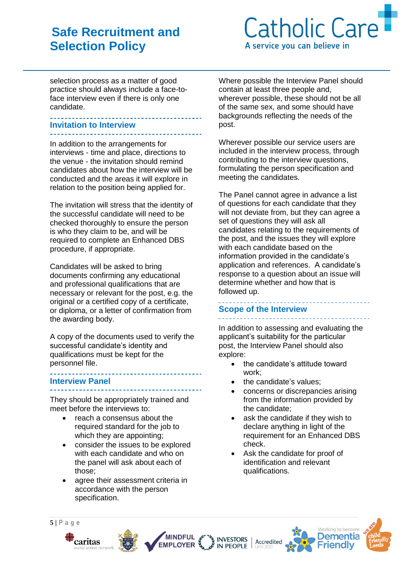

selection process as a matter of good practice should always include a face-toface interview even if there is only one candidate.

#### **Invitation to Interview**

In addition to the arrangements for interviews - time and place, directions to the venue - the invitation should remind candidates about how the interview will be conducted and the areas it will explore in relation to the position being applied for.

The invitation will stress that the identity of the successful candidate will need to be checked thoroughly to ensure the person is who they claim to be, and will be required to complete an Enhanced DBS procedure, if appropriate.

Candidates will be asked to bring documents confirming any educational and professional qualifications that are necessary or relevant for the post, e.g. the original or a certified copy of a certificate, or diploma, or a letter of confirmation from the awarding body.

A copy of the documents used to verify the successful candidate's identity and qualifications must be kept for the personnel file.

#### **Interview Panel** \_\_\_\_\_\_\_\_\_\_\_\_\_\_\_\_\_\_\_\_

They should be appropriately trained and meet before the interviews to:

- reach a consensus about the required standard for the job to which they are appointing;
- consider the issues to be explored with each candidate and who on the panel will ask about each of those;
- agree their assessment criteria in accordance with the person specification.

Where possible the Interview Panel should contain at least three people and, wherever possible, these should not be all of the same sex, and some should have backgrounds reflecting the needs of the post.

Wherever possible our service users are included in the interview process, through contributing to the interview questions, formulating the person specification and meeting the candidates.

The Panel cannot agree in advance a list of questions for each candidate that they will not deviate from, but they can agree a set of questions they will ask all candidates relating to the requirements of the post, and the issues they will explore with each candidate based on the information provided in the candidate's application and references. A candidate's response to a question about an issue will determine whether and how that is followed up.

## **Scope of the Interview**

In addition to assessing and evaluating the applicant's suitability for the particular post, the Interview Panel should also explore:

- the candidate's attitude toward work;
- the candidate's values:
- concerns or discrepancies arising from the information provided by the candidate;
- ask the candidate if they wish to declare anything in light of the requirement for an Enhanced DBS check.
- Ask the candidate for proof of identification and relevant qualifications.







**MINDFUL** 

**EMPLOYER** 

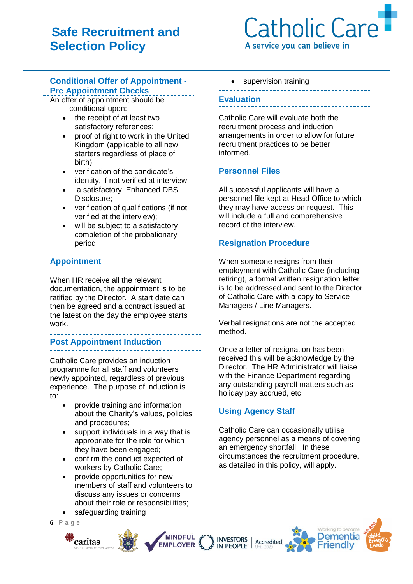# Catholic Care A service you can believe in

## **Conditional Offer of Appointment - Pre Appointment Checks**

An offer of appointment should be conditional upon:

- the receipt of at least two satisfactory references;
- proof of right to work in the United Kingdom (applicable to all new starters regardless of place of birth);
- verification of the candidate's identity, if not verified at interview;
- a satisfactory Enhanced DBS Disclosure;
- verification of qualifications (if not verified at the interview);
- will be subject to a satisfactory completion of the probationary period.

## **Appointment**

When HR receive all the relevant documentation, the appointment is to be ratified by the Director. A start date can then be agreed and a contract issued at the latest on the day the employee starts work.

# **Post Appointment Induction**

Catholic Care provides an induction programme for all staff and volunteers newly appointed, regardless of previous experience. The purpose of induction is to:

- provide training and information about the Charity's values, policies and procedures;
- support individuals in a way that is appropriate for the role for which they have been engaged;
- confirm the conduct expected of workers by Catholic Care;
- provide opportunities for new members of staff and volunteers to discuss any issues or concerns about their role or responsibilities; safeguarding training

**MINDFUL** 

**EMPLOYER** 

INVESTORS

**6 | P a g e**



• supervision training

## **Evaluation**

Catholic Care will evaluate both the recruitment process and induction arrangements in order to allow for future recruitment practices to be better informed.

# **Personnel Files**

All successful applicants will have a personnel file kept at Head Office to which they may have access on request. This will include a full and comprehensive record of the interview.

## **Resignation Procedure**

<u> 1111111111111111</u>

When someone resigns from their employment with Catholic Care (including retiring), a formal written resignation letter is to be addressed and sent to the Director of Catholic Care with a copy to Service Managers / Line Managers.

Verbal resignations are not the accepted method.

Once a letter of resignation has been received this will be acknowledge by the Director. The HR Administrator will liaise with the Finance Department regarding any outstanding payroll matters such as holiday pay accrued, etc.

## **Using Agency Staff**

Catholic Care can occasionally utilise agency personnel as a means of covering an emergency shortfall. In these circumstances the recruitment procedure, as detailed in this policy, will apply.